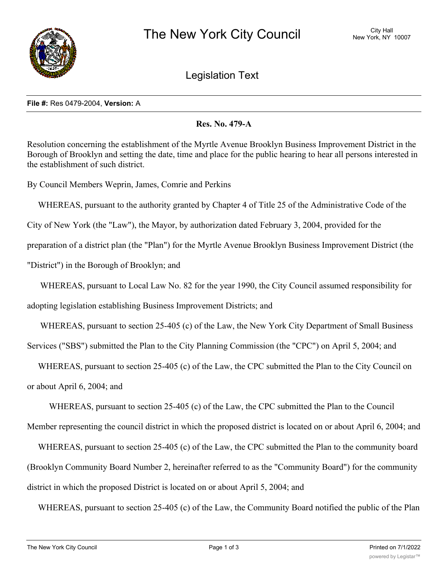

Legislation Text

## **File #:** Res 0479-2004, **Version:** A

## **Res. No. 479-A**

Resolution concerning the establishment of the Myrtle Avenue Brooklyn Business Improvement District in the Borough of Brooklyn and setting the date, time and place for the public hearing to hear all persons interested in the establishment of such district.

By Council Members Weprin, James, Comrie and Perkins

 WHEREAS, pursuant to the authority granted by Chapter 4 of Title 25 of the Administrative Code of the City of New York (the "Law"), the Mayor, by authorization dated February 3, 2004, provided for the preparation of a district plan (the "Plan") for the Myrtle Avenue Brooklyn Business Improvement District (the "District") in the Borough of Brooklyn; and

 WHEREAS, pursuant to Local Law No. 82 for the year 1990, the City Council assumed responsibility for adopting legislation establishing Business Improvement Districts; and

WHEREAS, pursuant to section 25-405 (c) of the Law, the New York City Department of Small Business

Services ("SBS") submitted the Plan to the City Planning Commission (the "CPC") on April 5, 2004; and

 WHEREAS, pursuant to section 25-405 (c) of the Law, the CPC submitted the Plan to the City Council on or about April 6, 2004; and

 WHEREAS, pursuant to section 25-405 (c) of the Law, the CPC submitted the Plan to the Council Member representing the council district in which the proposed district is located on or about April 6, 2004; and

 WHEREAS, pursuant to section 25-405 (c) of the Law, the CPC submitted the Plan to the community board (Brooklyn Community Board Number 2, hereinafter referred to as the "Community Board") for the community district in which the proposed District is located on or about April 5, 2004; and

WHEREAS, pursuant to section 25-405 (c) of the Law, the Community Board notified the public of the Plan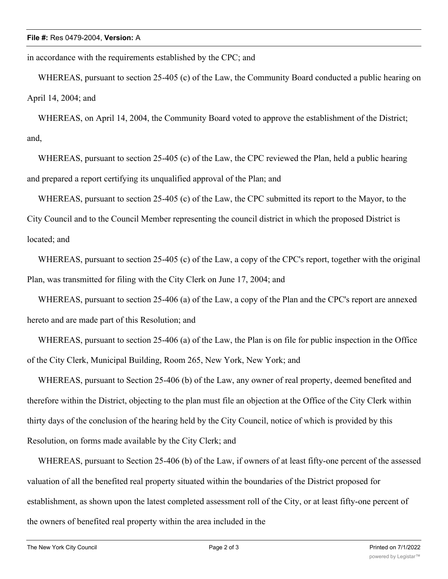in accordance with the requirements established by the CPC; and

WHEREAS, pursuant to section 25-405 (c) of the Law, the Community Board conducted a public hearing on April 14, 2004; and

 WHEREAS, on April 14, 2004, the Community Board voted to approve the establishment of the District; and,

 WHEREAS, pursuant to section 25-405 (c) of the Law, the CPC reviewed the Plan, held a public hearing and prepared a report certifying its unqualified approval of the Plan; and

 WHEREAS, pursuant to section 25-405 (c) of the Law, the CPC submitted its report to the Mayor, to the City Council and to the Council Member representing the council district in which the proposed District is located; and

WHEREAS, pursuant to section 25-405 (c) of the Law, a copy of the CPC's report, together with the original Plan, was transmitted for filing with the City Clerk on June 17, 2004; and

 WHEREAS, pursuant to section 25-406 (a) of the Law, a copy of the Plan and the CPC's report are annexed hereto and are made part of this Resolution; and

 WHEREAS, pursuant to section 25-406 (a) of the Law, the Plan is on file for public inspection in the Office of the City Clerk, Municipal Building, Room 265, New York, New York; and

 WHEREAS, pursuant to Section 25-406 (b) of the Law, any owner of real property, deemed benefited and therefore within the District, objecting to the plan must file an objection at the Office of the City Clerk within thirty days of the conclusion of the hearing held by the City Council, notice of which is provided by this Resolution, on forms made available by the City Clerk; and

 WHEREAS, pursuant to Section 25-406 (b) of the Law, if owners of at least fifty-one percent of the assessed valuation of all the benefited real property situated within the boundaries of the District proposed for establishment, as shown upon the latest completed assessment roll of the City, or at least fifty-one percent of the owners of benefited real property within the area included in the